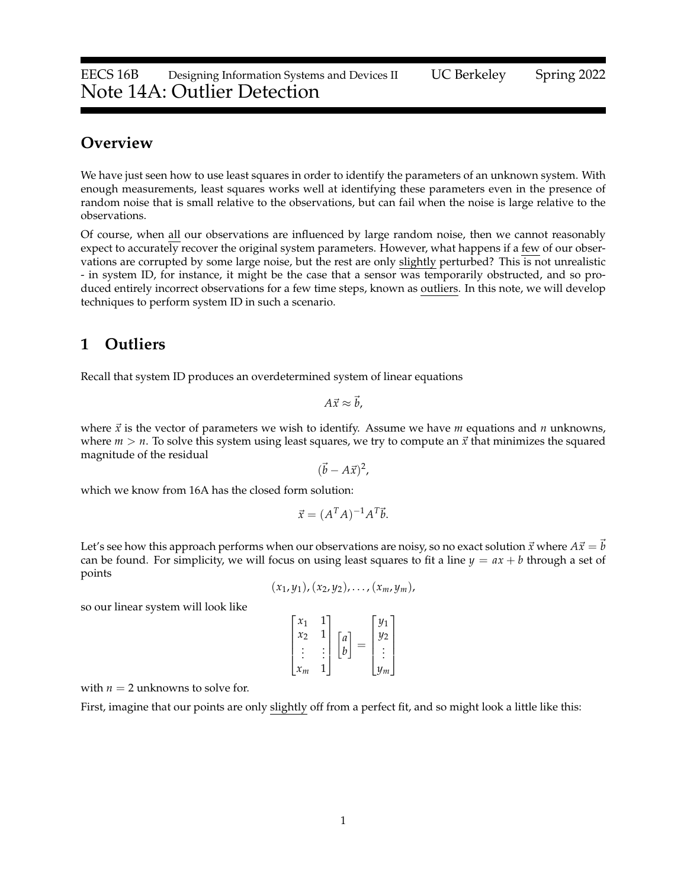EECS 16B Designing Information Systems and Devices II UC Berkeley Spring 2022 Note 14A: Outlier Detection

# **Overview**

We have just seen how to use least squares in order to identify the parameters of an unknown system. With enough measurements, least squares works well at identifying these parameters even in the presence of random noise that is small relative to the observations, but can fail when the noise is large relative to the observations.

Of course, when all our observations are influenced by large random noise, then we cannot reasonably expect to accurately recover the original system parameters. However, what happens if a few of our observations are corrupted by some large noise, but the rest are only slightly perturbed? This is not unrealistic - in system ID, for instance, it might be the case that a sensor was temporarily obstructed, and so produced entirely incorrect observations for a few time steps, known as outliers. In this note, we will develop techniques to perform system ID in such a scenario.

#### **1 Outliers**

Recall that system ID produces an overdetermined system of linear equations

$$
A\vec{x}\approx \vec{b},
$$

where  $\vec{x}$  is the vector of parameters we wish to identify. Assume we have *m* equations and *n* unknowns, where  $m > n$ . To solve this system using least squares, we try to compute an  $\vec{x}$  that minimizes the squared magnitude of the residual

$$
(\vec{b} - A\vec{x})^2
$$

 $\vec{x} = (A^T A)^{-1} A^T \vec{b}.$ 

which we know from 16A has the closed form solution:

Let's see how this approach performs when our observations are noisy, so no exact solution 
$$
\vec{x}
$$
 where  $A\vec{x} = \vec{b}$  can be found. For simplicity, we will focus on using least squares to fit a line  $y = ax + b$  through a set of points

$$
(x_1,y_1), (x_2,y_2), \ldots, (x_m,y_m),
$$

so our linear system will look like

| $\mathcal{X}_1$<br>$\mathcal{X}$ | 1 | a | 11 <sub>1</sub><br>$y_2$ |  |
|----------------------------------|---|---|--------------------------|--|
|                                  |   | n |                          |  |
| $x_m$                            |   |   | $v_m$                    |  |

with  $n = 2$  unknowns to solve for.

First, imagine that our points are only slightly off from a perfect fit, and so might look a little like this: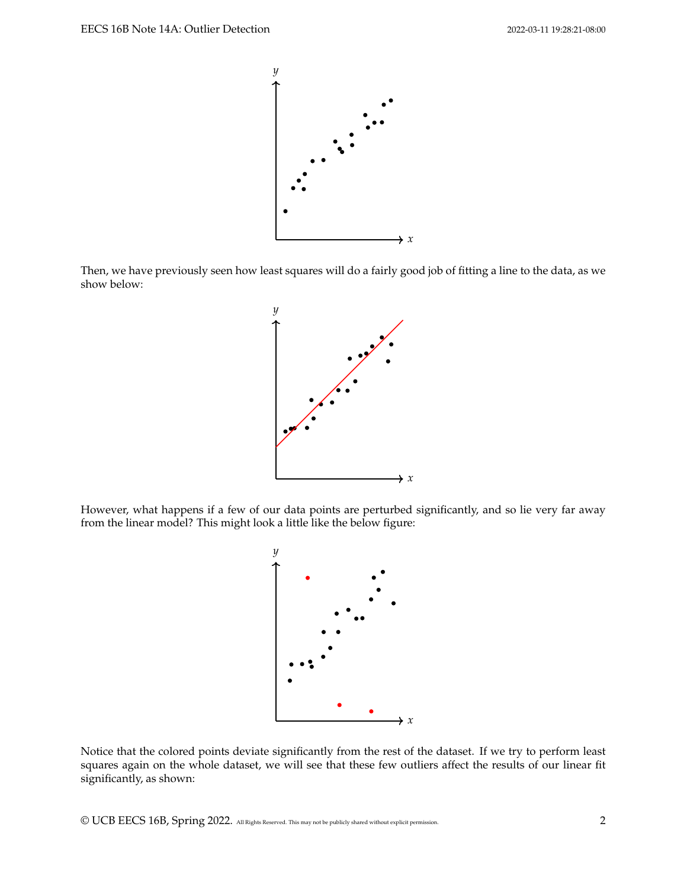

Then, we have previously seen how least squares will do a fairly good job of fitting a line to the data, as we show below:



However, what happens if a few of our data points are perturbed significantly, and so lie very far away from the linear model? This might look a little like the below figure:



Notice that the colored points deviate significantly from the rest of the dataset. If we try to perform least squares again on the whole dataset, we will see that these few outliers affect the results of our linear fit significantly, as shown:

© UCB EECS 16B, Spring 2022. All Rights Reserved. This may not be publicly shared without explicit permission. 2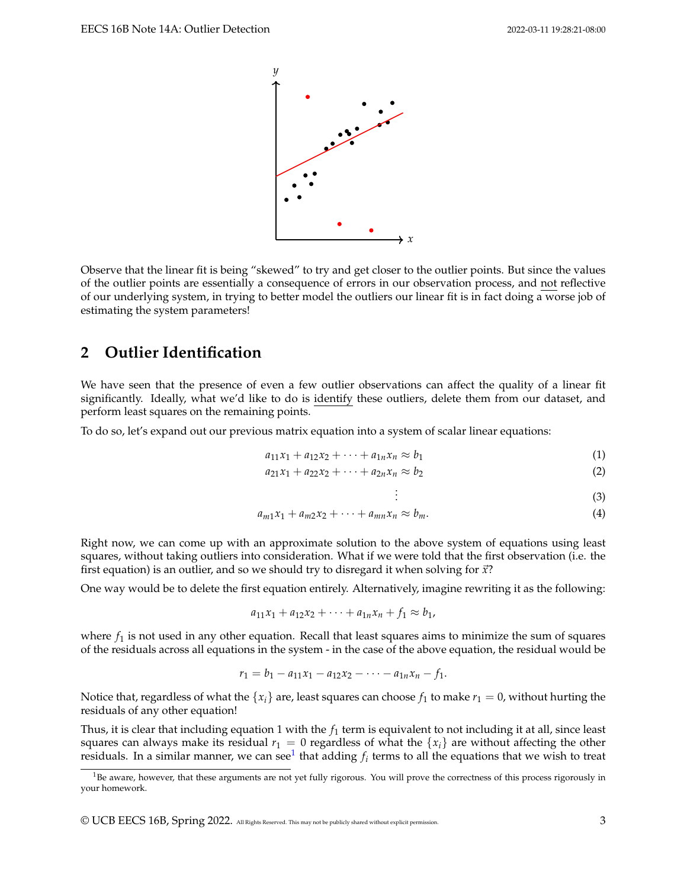

Observe that the linear fit is being "skewed" to try and get closer to the outlier points. But since the values of the outlier points are essentially a consequence of errors in our observation process, and not reflective of our underlying system, in trying to better model the outliers our linear fit is in fact doing a worse job of estimating the system parameters!

# **2 Outlier Identification**

We have seen that the presence of even a few outlier observations can affect the quality of a linear fit significantly. Ideally, what we'd like to do is identify these outliers, delete them from our dataset, and perform least squares on the remaining points.

To do so, let's expand out our previous matrix equation into a system of scalar linear equations:

$$
a_{11}x_1 + a_{12}x_2 + \dots + a_{1n}x_n \approx b_1 \tag{1}
$$

$$
a_{21}x_1 + a_{22}x_2 + \cdots + a_{2n}x_n \approx b_2 \tag{2}
$$

$$
\vdots \tag{3}
$$

$$
a_{m1}x_1 + a_{m2}x_2 + \cdots + a_{mn}x_n \approx b_m. \tag{4}
$$

. .

Right now, we can come up with an approximate solution to the above system of equations using least squares, without taking outliers into consideration. What if we were told that the first observation (i.e. the first equation) is an outlier, and so we should try to disregard it when solving for  $\vec{x}$ ?

One way would be to delete the first equation entirely. Alternatively, imagine rewriting it as the following:

$$
a_{11}x_1 + a_{12}x_2 + \cdots + a_{1n}x_n + f_1 \approx b_1,
$$

where  $f_1$  is not used in any other equation. Recall that least squares aims to minimize the sum of squares of the residuals across all equations in the system - in the case of the above equation, the residual would be

$$
r_1 = b_1 - a_{11}x_1 - a_{12}x_2 - \cdots - a_{1n}x_n - f_1.
$$

Notice that, regardless of what the  $\{x_i\}$  are, least squares can choose  $f_1$  to make  $r_1 = 0$ , without hurting the residuals of any other equation!

Thus, it is clear that including equation 1 with the *f*<sup>1</sup> term is equivalent to not including it at all, since least squares can always make its residual  $r_1 = 0$  regardless of what the  $\{x_i\}$  are without affecting the other residuals. In a similar manner, we can see $^1$  $^1$  that adding  $f_i$  terms to all the equations that we wish to treat

<span id="page-2-0"></span><sup>&</sup>lt;sup>1</sup>Be aware, however, that these arguments are not yet fully rigorous. You will prove the correctness of this process rigorously in your homework.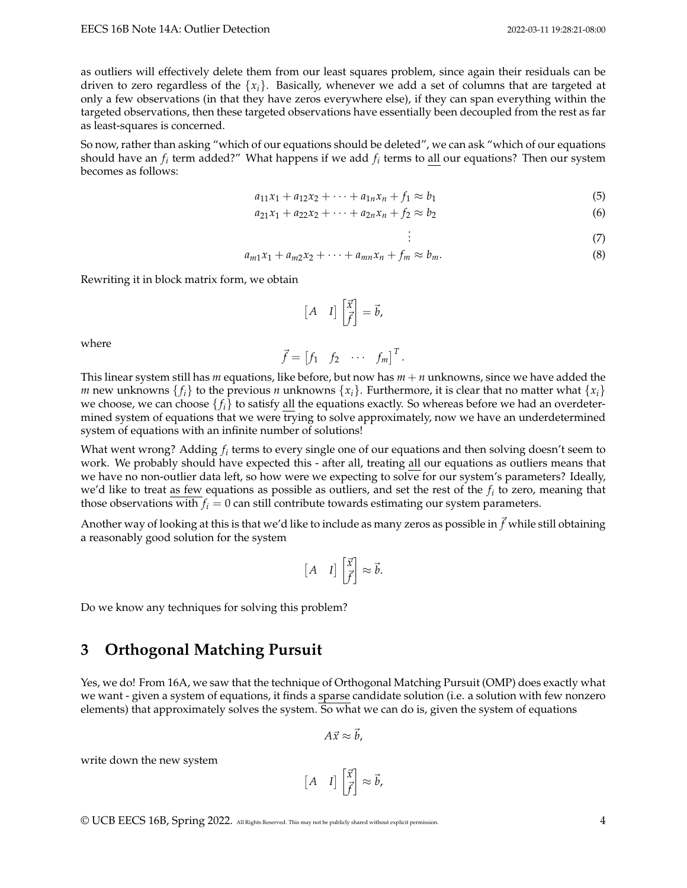as outliers will effectively delete them from our least squares problem, since again their residuals can be driven to zero regardless of the  ${x_i}$ . Basically, whenever we add a set of columns that are targeted at only a few observations (in that they have zeros everywhere else), if they can span everything within the targeted observations, then these targeted observations have essentially been decoupled from the rest as far as least-squares is concerned.

So now, rather than asking "which of our equations should be deleted", we can ask "which of our equations should have an *f<sup>i</sup>* term added?" What happens if we add *f<sup>i</sup>* terms to all our equations? Then our system becomes as follows:

$$
a_{11}x_1 + a_{12}x_2 + \dots + a_{1n}x_n + f_1 \approx b_1 \tag{5}
$$

$$
a_{21}x_1 + a_{22}x_2 + \cdots + a_{2n}x_n + f_2 \approx b_2 \tag{6}
$$

$$
\vdots \hspace{1.5cm} (7)
$$

$$
a_{m1}x_1 + a_{m2}x_2 + \cdots + a_{mn}x_n + f_m \approx b_m. \tag{8}
$$

. .

Rewriting it in block matrix form, we obtain

$$
\begin{bmatrix} A & I \end{bmatrix} \begin{bmatrix} \vec{x} \\ \vec{f} \end{bmatrix} = \vec{b},
$$

where

$$
\vec{f} = \begin{bmatrix} f_1 & f_2 & \cdots & f_m \end{bmatrix}^T.
$$

This linear system still has *m* equations, like before, but now has *m* + *n* unknowns, since we have added the *m* new unknowns  $\{f_i\}$  to the previous *n* unknowns  $\{x_i\}$ . Furthermore, it is clear that no matter what  $\{x_i\}$ we choose, we can choose  $\{f_i\}$  to satisfy all the equations exactly. So whereas before we had an overdetermined system of equations that we were trying to solve approximately, now we have an underdetermined system of equations with an infinite number of solutions!

What went wrong? Adding  $f_i$  terms to every single one of our equations and then solving doesn't seem to work. We probably should have expected this - after all, treating all our equations as outliers means that we have no non-outlier data left, so how were we expecting to solve for our system's parameters? Ideally, we'd like to treat <u>as few</u> equations as possible as outliers, and set the rest of the  $f_i$  to zero, meaning that those observations with  $f_i = 0$  can still contribute towards estimating our system parameters.

Another way of looking at this is that we'd like to include as many zeros as possible in  $\vec{f}$  while still obtaining a reasonably good solution for the system

$$
\begin{bmatrix} A & I \end{bmatrix} \begin{bmatrix} \vec{x} \\ \vec{f} \end{bmatrix} \approx \vec{b}.
$$

Do we know any techniques for solving this problem?

### **3 Orthogonal Matching Pursuit**

Yes, we do! From 16A, we saw that the technique of Orthogonal Matching Pursuit (OMP) does exactly what we want - given a system of equations, it finds a sparse candidate solution (i.e. a solution with few nonzero elements) that approximately solves the system. So what we can do is, given the system of equations

$$
A\vec{x}\approx \vec{b},
$$

write down the new system

$$
\begin{bmatrix} A & I \end{bmatrix} \begin{bmatrix} \vec{x} \\ \vec{f} \end{bmatrix} \approx \vec{b},
$$

© UCB EECS 16B, Spring 2022. All Rights Reserved. This may not be publicly shared without explicit permission. 4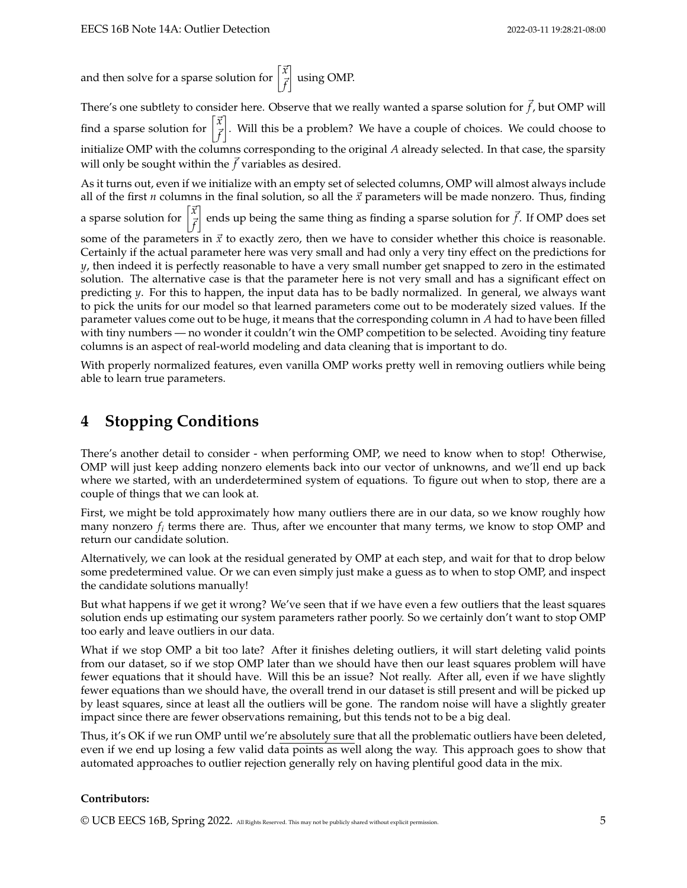and then solve for a sparse solution for  $\begin{bmatrix} \vec{x} & \vec{y} & \vec{z} \\ \vec{z} & \vec{z} & \vec{z} \end{bmatrix}$ ~*f* using OMP.

There's one subtlety to consider here. Observe that we really wanted a sparse solution for  $\vec{f}$ , but OMP will find a sparse solution for ~*x* ~*f* . Will this be a problem? We have a couple of choices. We could choose to initialize OMP with the columns corresponding to the original *A* already selected. In that case, the sparsity will only be sought within the  $f$  variables as desired.

As it turns out, even if we initialize with an empty set of selected columns, OMP will almost always include all of the first *n* columns in the final solution, so all the  $\vec{x}$  parameters will be made nonzero. Thus, finding a sparse solution for  $\begin{bmatrix} \vec{x} \\ \vec{r} \end{bmatrix}$ ~*f*  $\left.\frac{1}{2}\right|$  ends up being the same thing as finding a sparse solution for  $\vec{f}$ . If OMP does set

some of the parameters in  $\vec{x}$  to exactly zero, then we have to consider whether this choice is reasonable. Certainly if the actual parameter here was very small and had only a very tiny effect on the predictions for *y*, then indeed it is perfectly reasonable to have a very small number get snapped to zero in the estimated solution. The alternative case is that the parameter here is not very small and has a significant effect on predicting *y*. For this to happen, the input data has to be badly normalized. In general, we always want to pick the units for our model so that learned parameters come out to be moderately sized values. If the parameter values come out to be huge, it means that the corresponding column in *A* had to have been filled with tiny numbers — no wonder it couldn't win the OMP competition to be selected. Avoiding tiny feature columns is an aspect of real-world modeling and data cleaning that is important to do.

With properly normalized features, even vanilla OMP works pretty well in removing outliers while being able to learn true parameters.

# **4 Stopping Conditions**

There's another detail to consider - when performing OMP, we need to know when to stop! Otherwise, OMP will just keep adding nonzero elements back into our vector of unknowns, and we'll end up back where we started, with an underdetermined system of equations. To figure out when to stop, there are a couple of things that we can look at.

First, we might be told approximately how many outliers there are in our data, so we know roughly how many nonzero  $f_i$  terms there are. Thus, after we encounter that many terms, we know to stop OMP and return our candidate solution.

Alternatively, we can look at the residual generated by OMP at each step, and wait for that to drop below some predetermined value. Or we can even simply just make a guess as to when to stop OMP, and inspect the candidate solutions manually!

But what happens if we get it wrong? We've seen that if we have even a few outliers that the least squares solution ends up estimating our system parameters rather poorly. So we certainly don't want to stop OMP too early and leave outliers in our data.

What if we stop OMP a bit too late? After it finishes deleting outliers, it will start deleting valid points from our dataset, so if we stop OMP later than we should have then our least squares problem will have fewer equations that it should have. Will this be an issue? Not really. After all, even if we have slightly fewer equations than we should have, the overall trend in our dataset is still present and will be picked up by least squares, since at least all the outliers will be gone. The random noise will have a slightly greater impact since there are fewer observations remaining, but this tends not to be a big deal.

Thus, it's OK if we run OMP until we're absolutely sure that all the problematic outliers have been deleted, even if we end up losing a few valid data points as well along the way. This approach goes to show that automated approaches to outlier rejection generally rely on having plentiful good data in the mix.

#### **Contributors:**